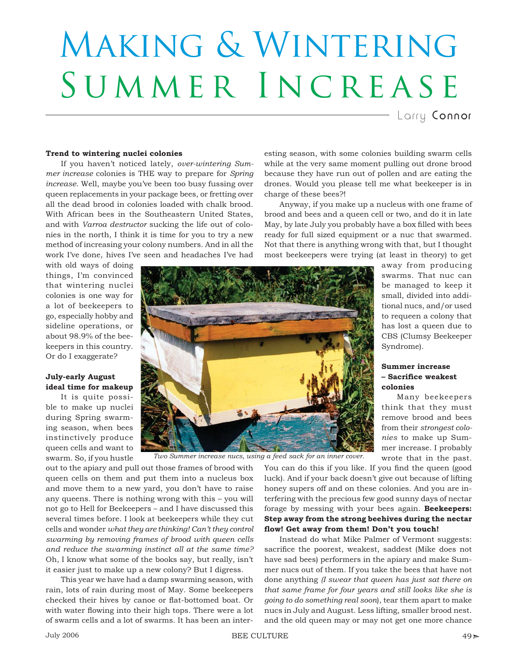# Making & Wintering SUMMER INCREASE

charge of these bees?!

Larry Connor

## **Trend to wintering nuclei colonies**

If you haven't noticed lately, *over-wintering Summer increase* colonies is THE way to prepare for *Spring increase*. Well, maybe you've been too busy fussing over queen replacements in your package bees, or fretting over all the dead brood in colonies loaded with chalk brood. With African bees in the Southeastern United States, and with *Varroa destructor* sucking the life out of colonies in the north, I think it is time for you to try a new method of increasing your colony numbers. And in all the work I've done, hives I've seen and headaches I've had

with old ways of doing things, I'm convinced that wintering nuclei colonies is one way for a lot of beekeepers to go, especially hobby and sideline operations, or about 98.9% of the beekeepers in this country. Or do I exaggerate?

## **July-early August ideal time for makeup**

It is quite possible to make up nuclei during Spring swarming season, when bees instinctively produce queen cells and want to swarm. So, if you hustle



most beekeepers were trying (at least in theory) to get away from producing swarms. That nuc can be managed to keep it small, divided into additional nucs, and/or used to requeen a colony that has lost a queen due to CBS (Clumsy Beekeeper Syndrome).

# **Summer increase – Sacrifi ce weakest colonies**

Many beekeepers think that they must remove brood and bees from their *strongest colonies* to make up Summer increase. I probably wrote that in the past.

*Two Summer increase nucs, using a feed sack for an inner cover.*

out to the apiary and pull out those frames of brood with queen cells on them and put them into a nucleus box and move them to a new yard, you don't have to raise any queens. There is nothing wrong with this – you will not go to Hell for Beekeepers – and I have discussed this several times before. I look at beekeepers while they cut cells and wonder *what they are thinking! Can't they control swarming by removing frames of brood with queen cells and reduce the swarming instinct all at the same time?* Oh, I know what some of the books say, but really, isn't it easier just to make up a new colony? But I digress.

This year we have had a damp swarming season, with rain, lots of rain during most of May. Some beekeepers checked their hives by canoe or flat-bottomed boat. Or with water flowing into their high tops. There were a lot of swarm cells and a lot of swarms. It has been an interYou can do this if you like. If you find the queen (good luck). And if your back doesn't give out because of lifting honey supers off and on these colonies. And you are interfering with the precious few good sunny days of nectar forage by messing with your bees again. **Beekeepers: Step away from the strong beehives during the nectar**  flow! Get away from them! Don't you touch!

esting season, with some colonies building swarm cells while at the very same moment pulling out drone brood because they have run out of pollen and are eating the drones. Would you please tell me what beekeeper is in

Anyway, if you make up a nucleus with one frame of brood and bees and a queen cell or two, and do it in late May, by late July you probably have a box filled with bees ready for full sized equipment or a nuc that swarmed. Not that there is anything wrong with that, but I thought

Instead do what Mike Palmer of Vermont suggests: sacrifice the poorest, weakest, saddest (Mike does not have sad bees) performers in the apiary and make Summer nucs out of them. If you take the bees that have not done anything *(I swear that queen has just sat there on that same frame for four years and still looks like she is going to do something real soon*), tear them apart to make nucs in July and August. Less lifting, smaller brood nest. and the old queen may or may not get one more chance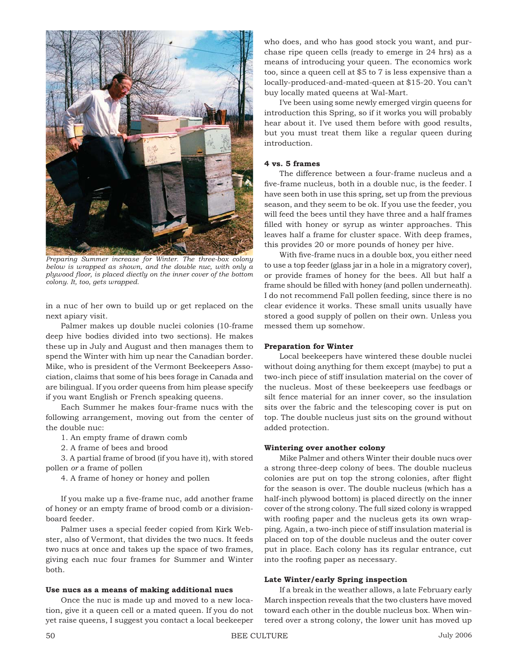

*Preparing Summer increase for Winter. The three-box colony below is wrapped as shown, and the double nuc, with only a plywood floor, is placed diectly on the inner cover of the bottom colony. It, too, gets wrapped.*

in a nuc of her own to build up or get replaced on the next apiary visit.

Palmer makes up double nuclei colonies (10-frame deep hive bodies divided into two sections). He makes these up in July and August and then manages them to spend the Winter with him up near the Canadian border. Mike, who is president of the Vermont Beekeepers Association, claims that some of his bees forage in Canada and are bilingual. If you order queens from him please specify if you want English or French speaking queens.

Each Summer he makes four-frame nucs with the following arrangement, moving out from the center of the double nuc:

1. An empty frame of drawn comb

2. A frame of bees and brood

3. A partial frame of brood (if you have it), with stored pollen *or* a frame of pollen

4. A frame of honey or honey and pollen

If you make up a five-frame nuc, add another frame of honey or an empty frame of brood comb or a divisionboard feeder.

Palmer uses a special feeder copied from Kirk Webster, also of Vermont, that divides the two nucs. It feeds two nucs at once and takes up the space of two frames, giving each nuc four frames for Summer and Winter both.

#### **Use nucs as a means of making additional nucs**

Once the nuc is made up and moved to a new location, give it a queen cell or a mated queen. If you do not yet raise queens, I suggest you contact a local beekeeper who does, and who has good stock you want, and purchase ripe queen cells (ready to emerge in 24 hrs) as a means of introducing your queen. The economics work too, since a queen cell at \$5 to 7 is less expensive than a locally-produced-and-mated-queen at \$15-20. You can't buy locally mated queens at Wal-Mart.

I've been using some newly emerged virgin queens for introduction this Spring, so if it works you will probably hear about it. I've used them before with good results, but you must treat them like a regular queen during introduction.

# **4 vs. 5 frames**

The difference between a four-frame nucleus and a five-frame nucleus, both in a double nuc, is the feeder. I have seen both in use this spring, set up from the previous season, and they seem to be ok. If you use the feeder, you will feed the bees until they have three and a half frames filled with honey or syrup as winter approaches. This leaves half a frame for cluster space. With deep frames, this provides 20 or more pounds of honey per hive.

With five-frame nucs in a double box, you either need to use a top feeder (glass jar in a hole in a migratory cover), or provide frames of honey for the bees. All but half a frame should be filled with honey (and pollen underneath). I do not recommend Fall pollen feeding, since there is no clear evidence it works. These small units usually have stored a good supply of pollen on their own. Unless you messed them up somehow.

## **Preparation for Winter**

Local beekeepers have wintered these double nuclei without doing anything for them except (maybe) to put a two-inch piece of stiff insulation material on the cover of the nucleus. Most of these beekeepers use feedbags or silt fence material for an inner cover, so the insulation sits over the fabric and the telescoping cover is put on top. The double nucleus just sits on the ground without added protection.

## **Wintering over another colony**

Mike Palmer and others Winter their double nucs over a strong three-deep colony of bees. The double nucleus colonies are put on top the strong colonies, after flight for the season is over. The double nucleus (which has a half-inch plywood bottom) is placed directly on the inner cover of the strong colony. The full sized colony is wrapped with roofing paper and the nucleus gets its own wrapping. Again, a two-inch piece of stiff insulation material is placed on top of the double nucleus and the outer cover put in place. Each colony has its regular entrance, cut into the roofing paper as necessary.

#### **Late Winter/early Spring inspection**

If a break in the weather allows, a late February early March inspection reveals that the two clusters have moved toward each other in the double nucleus box. When wintered over a strong colony, the lower unit has moved up